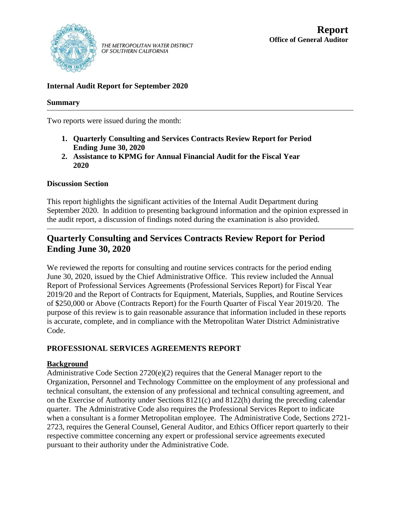

THE METROPOLITAN WATER DISTRICT<br>OF SOUTHERN CALIFORNIA

## **Internal Audit Report for September 2020**

### **Summary**

Two reports were issued during the month:

- **1. Quarterly Consulting and Services Contracts Review Report for Period Ending June 30, 2020**
- **2. Assistance to KPMG for Annual Financial Audit for the Fiscal Year 2020**

### **Discussion Section**

This report highlights the significant activities of the Internal Audit Department during September 2020. In addition to presenting background information and the opinion expressed in the audit report, a discussion of findings noted during the examination is also provided.

# **Quarterly Consulting and Services Contracts Review Report for Period Ending June 30, 2020**

We reviewed the reports for consulting and routine services contracts for the period ending June 30, 2020, issued by the Chief Administrative Office. This review included the Annual Report of Professional Services Agreements (Professional Services Report) for Fiscal Year 2019/20 and the Report of Contracts for Equipment, Materials, Supplies, and Routine Services of \$250,000 or Above (Contracts Report) for the Fourth Quarter of Fiscal Year 2019/20. The purpose of this review is to gain reasonable assurance that information included in these reports is accurate, complete, and in compliance with the Metropolitan Water District Administrative Code.

### **PROFESSIONAL SERVICES AGREEMENTS REPORT**

### **Background**

Administrative Code Section 2720(e)(2) requires that the General Manager report to the Organization, Personnel and Technology Committee on the employment of any professional and technical consultant, the extension of any professional and technical consulting agreement, and on the Exercise of Authority under Sections 8121(c) and 8122(h) during the preceding calendar quarter. The Administrative Code also requires the Professional Services Report to indicate when a consultant is a former Metropolitan employee. The Administrative Code, Sections 2721- 2723, requires the General Counsel, General Auditor, and Ethics Officer report quarterly to their respective committee concerning any expert or professional service agreements executed pursuant to their authority under the Administrative Code.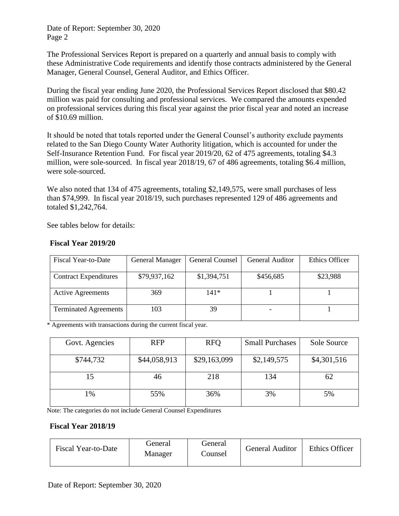Date of Report: September 30, 2020 Page 2

The Professional Services Report is prepared on a quarterly and annual basis to comply with these Administrative Code requirements and identify those contracts administered by the General Manager, General Counsel, General Auditor, and Ethics Officer.

During the fiscal year ending June 2020, the Professional Services Report disclosed that \$80.42 million was paid for consulting and professional services. We compared the amounts expended on professional services during this fiscal year against the prior fiscal year and noted an increase of \$10.69 million.

It should be noted that totals reported under the General Counsel's authority exclude payments related to the San Diego County Water Authority litigation, which is accounted for under the Self-Insurance Retention Fund. For fiscal year 2019/20, 62 of 475 agreements, totaling \$4.3 million, were sole-sourced. In fiscal year 2018/19, 67 of 486 agreements, totaling \$6.4 million, were sole-sourced.

We also noted that 134 of 475 agreements, totaling \$2,149,575, were small purchases of less than \$74,999. In fiscal year 2018/19, such purchases represented 129 of 486 agreements and totaled \$1,242,764.

See tables below for details:

| Fiscal Year-to-Date          | <b>General Manager</b> | <b>General Counsel</b> | <b>General Auditor</b> | Ethics Officer |
|------------------------------|------------------------|------------------------|------------------------|----------------|
|                              |                        |                        |                        |                |
| <b>Contract Expenditures</b> | \$79,937,162           | \$1,394,751            | \$456,685              | \$23,988       |
|                              |                        |                        |                        |                |
| <b>Active Agreements</b>     | 369                    | 141*                   |                        |                |
|                              |                        |                        |                        |                |
| <b>Terminated Agreements</b> | 103                    | 39                     |                        |                |
|                              |                        |                        |                        |                |

### **Fiscal Year 2019/20**

\* Agreements with transactions during the current fiscal year.

| Govt. Agencies | <b>RFP</b>   | <b>RFQ</b>   | <b>Small Purchases</b> | Sole Source |
|----------------|--------------|--------------|------------------------|-------------|
| \$744,732      | \$44,058,913 | \$29,163,099 | \$2,149,575            | \$4,301,516 |
| 15             | 46           | 218          | 134                    | 62          |
| 1%             | 55%          | 36%          | 3%                     | 5%          |

Note: The categories do not include General Counsel Expenditures

### **Fiscal Year 2018/19**

| Fiscal Year-to-Date | General<br>Manager | General<br>- Counsel | General Auditor | <b>Ethics Officer</b> |
|---------------------|--------------------|----------------------|-----------------|-----------------------|
|---------------------|--------------------|----------------------|-----------------|-----------------------|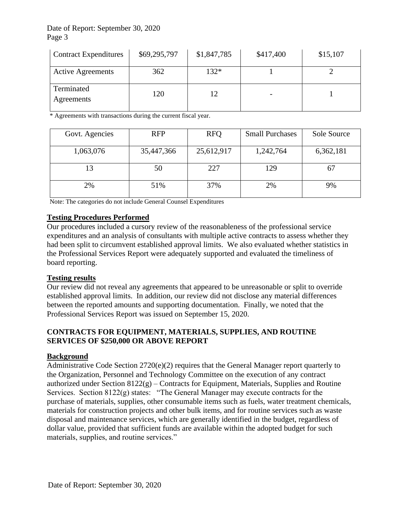### Date of Report: September 30, 2020 Page 3

| <b>Contract Expenditures</b> | \$69,295,797 | \$1,847,785 | \$417,400 | \$15,107 |
|------------------------------|--------------|-------------|-----------|----------|
| <b>Active Agreements</b>     | 362          | $132*$      |           |          |
| Terminated<br>Agreements     | 120          |             |           |          |

\* Agreements with transactions during the current fiscal year.

| Govt. Agencies | <b>RFP</b> | <b>RFQ</b> | <b>Small Purchases</b> | Sole Source |
|----------------|------------|------------|------------------------|-------------|
| 1,063,076      | 35,447,366 | 25,612,917 | 1,242,764              | 6,362,181   |
|                | 50         | 227        | 129                    | 67          |
| 2%             | 51%        | 37%        | 2%                     | 9%          |

Note: The categories do not include General Counsel Expenditures

### **Testing Procedures Performed**

Our procedures included a cursory review of the reasonableness of the professional service expenditures and an analysis of consultants with multiple active contracts to assess whether they had been split to circumvent established approval limits. We also evaluated whether statistics in the Professional Services Report were adequately supported and evaluated the timeliness of board reporting.

### **Testing results**

Our review did not reveal any agreements that appeared to be unreasonable or split to override established approval limits. In addition, our review did not disclose any material differences between the reported amounts and supporting documentation. Finally, we noted that the Professional Services Report was issued on September 15, 2020.

### **CONTRACTS FOR EQUIPMENT, MATERIALS, SUPPLIES, AND ROUTINE SERVICES OF \$250,000 OR ABOVE REPORT**

### **Background**

Administrative Code Section 2720(e)(2) requires that the General Manager report quarterly to the Organization, Personnel and Technology Committee on the execution of any contract authorized under Section 8122(g) – Contracts for Equipment, Materials, Supplies and Routine Services. Section 8122(g) states: "The General Manager may execute contracts for the purchase of materials, supplies, other consumable items such as fuels, water treatment chemicals, materials for construction projects and other bulk items, and for routine services such as waste disposal and maintenance services, which are generally identified in the budget, regardless of dollar value, provided that sufficient funds are available within the adopted budget for such materials, supplies, and routine services."